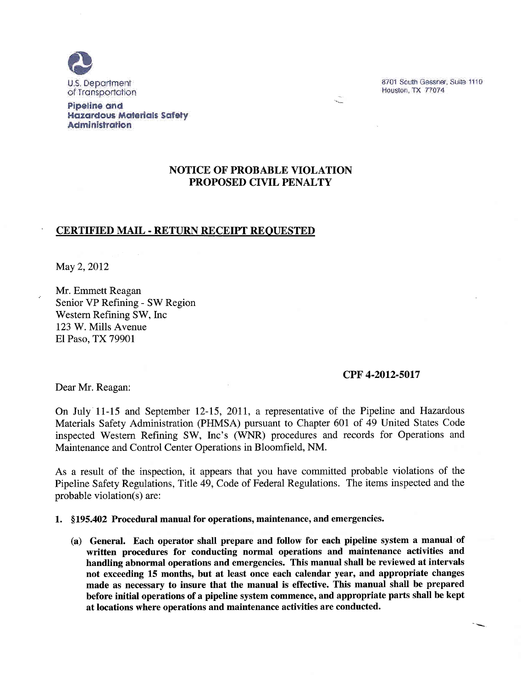

8701 South Gessner, Suite 1110 Houston, TX 77074

#### **Pipeline and Hazardous Materials Safety Administration**

# **NOTICE OF PROBABLE VIOLATION** PROPOSED CIVIL PENALTY

## **CERTIFIED MAIL - RETURN RECEIPT REQUESTED**

May 2, 2012

Mr. Emmett Reagan Senior VP Refining - SW Region Western Refining SW, Inc. 123 W. Mills Avenue El Paso, TX 79901

#### CPF 4-2012-5017

Dear Mr. Reagan:

On July 11-15 and September 12-15, 2011, a representative of the Pipeline and Hazardous Materials Safety Administration (PHMSA) pursuant to Chapter 601 of 49 United States Code inspected Western Refining SW, Inc's (WNR) procedures and records for Operations and Maintenance and Control Center Operations in Bloomfield, NM.

As a result of the inspection, it appears that you have committed probable violations of the Pipeline Safety Regulations, Title 49, Code of Federal Regulations. The items inspected and the probable violation(s) are:

1. §195.402 Procedural manual for operations, maintenance, and emergencies.

(a) General. Each operator shall prepare and follow for each pipeline system a manual of written procedures for conducting normal operations and maintenance activities and handling abnormal operations and emergencies. This manual shall be reviewed at intervals not exceeding 15 months, but at least once each calendar year, and appropriate changes made as necessary to insure that the manual is effective. This manual shall be prepared before initial operations of a pipeline system commence, and appropriate parts shall be kept at locations where operations and maintenance activities are conducted.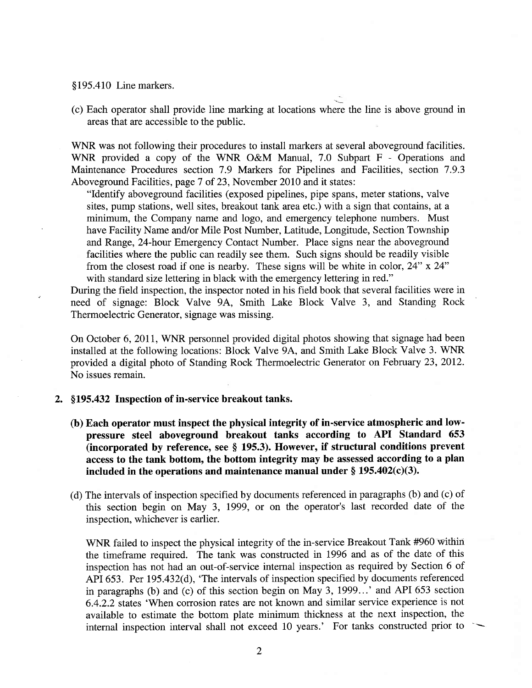§195.410 Line markers.

(c) Each operator shall provide line marking at locations where the line is above ground in areas that are accessible to the public.

WNR was not following their procedures to install markers at several aboveground facilities. WNR provided a copy of the WNR O&M Manual, 7.0 Subpart F - Operations and Maintenance Procedures section 7.9 Markers for Pipelines and Facilities, section 7.9.3 Aboveground Facilities, page 7 of 23, November 2010 and it states:

"Identify aboveground facilities (exposed pipelines, pipe spans, meter stations, valve sites, pump stations, well sites, breakout tank area etc.) with a sign that contains, at a minimum, the Company name and logo, and emergency telephone numbers. Must have Facility Name and/or Mile Post Number, Latitude, Longitude, Section Township and Range, 24-hour Emergency Contact Number. Place signs near the aboveground facilities where the public can readily see them. Such signs should be readily visible from the closest road if one is nearby. These signs will be white in color, 24" x 24" with standard size lettering in black with the emergency lettering in red."

During the field inspection, the inspector noted in his field book that several facilities were in need of signage: Block Valve 9A, Smith Lake Block Valve 3, and Standing Rock Thermoelectric Generator, signage was missing.

On October 6, 2011, WNR personnel provided digital photos showing that signage had been installed at the following locations: Block Valve 9A, and Smith Lake Block Valve 3. WNR provided a digital photo of Standing Rock Thermoelectric Generator on February 23, 2012. No issues remain.

- 2. §195.432 Inspection of in-service breakout tanks.
	- (b) Each operator must inspect the physical integrity of in-service atmospheric and lowpressure steel aboveground breakout tanks according to API Standard 653 (incorporated by reference, see § 195.3). However, if structural conditions prevent access to the tank bottom, the bottom integrity may be assessed according to a plan included in the operations and maintenance manual under  $\S 195.402(c)(3)$ .
	- (d) The intervals of inspection specified by documents referenced in paragraphs (b) and (c) of this section begin on May 3, 1999, or on the operator's last recorded date of the inspection, whichever is earlier.

WNR failed to inspect the physical integrity of the in-service Breakout Tank #960 within the timeframe required. The tank was constructed in 1996 and as of the date of this inspection has not had an out-of-service internal inspection as required by Section 6 of API 653. Per 195.432(d), 'The intervals of inspection specified by documents referenced in paragraphs (b) and (c) of this section begin on May 3, 1999...' and API 653 section 6.4.2.2 states 'When corrosion rates are not known and similar service experience is not available to estimate the bottom plate minimum thickness at the next inspection, the internal inspection interval shall not exceed 10 years.' For tanks constructed prior to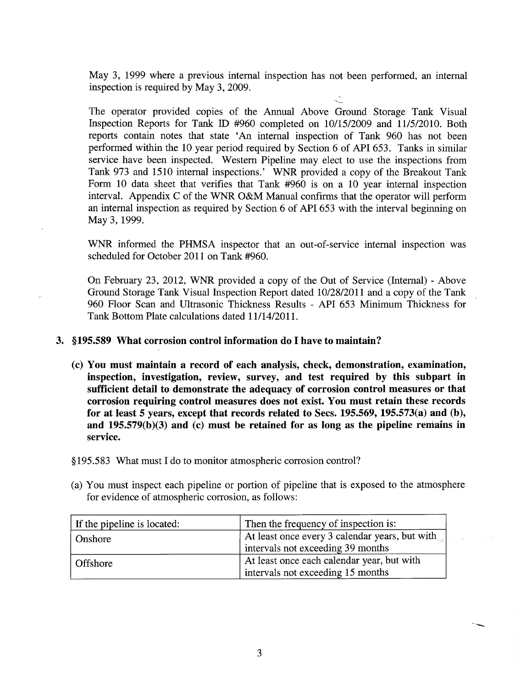May 3, 1999 where a previous internal inspection has not been performed, an internal inspection is required by May 3, 2009.

The operator provided copies of the Annual Above Ground Storage Tank Visual Inspection Reports for Tank ID #960 completed on 10/15/2009 and 11/5/2010. Both reports contain notes that state 'An internal inspection of Tank 960 has not been performed within the 10 year period required by Section 6 of API 653. Tanks in similar service have been inspected. Western Pipeline may elect to use the inspections from Tank 973 and 1510 internal inspections.' WNR provided a copy of the Breakout Tank Form 10 data sheet that verifies that Tank  $#960$  is on a 10 year internal inspection interval. Appendix C of the WNR O&M Manual confirms that the operator will perform an internal inspection as required by Section 6 of API 653 with the interval beginning on May 3, 1999.

WNR informed the PHMSA inspector that an out-of-service internal inspection was scheduled for October 2011 on Tank #960.

On February 23, 2012, WNR provided a copy of the Out of Service (Internal) - Above Ground Storage Tank Visual Inspection Report dated 10/28/2011 and a copy of the Tank 960 Floor Scan and Ultrasonic Thickness Results - API 653 Minimum Thickness for Tank Bottom Plate calculations dated 11/14/2011.

## 3. §195.589 What corrosion control information do I have to maintain?

(c) You must maintain a record of each analysis, check, demonstration, examination, inspection, investigation, review, survey, and test required by this subpart in sufficient detail to demonstrate the adequacy of corrosion control measures or that corrosion requiring control measures does not exist. You must retain these records for at least 5 years, except that records related to Secs. 195.569, 195.573(a) and (b), and  $195.579(b)(3)$  and (c) must be retained for as long as the pipeline remains in service.

§195.583 What must I do to monitor atmospheric corrosion control?

(a) You must inspect each pipeline or portion of pipeline that is exposed to the atmosphere for evidence of atmospheric corrosion, as follows:

| If the pipeline is located: | Then the frequency of inspection is:                                                |
|-----------------------------|-------------------------------------------------------------------------------------|
| Onshore                     | At least once every 3 calendar years, but with<br>intervals not exceeding 39 months |
| Offshore                    | At least once each calendar year, but with<br>intervals not exceeding 15 months     |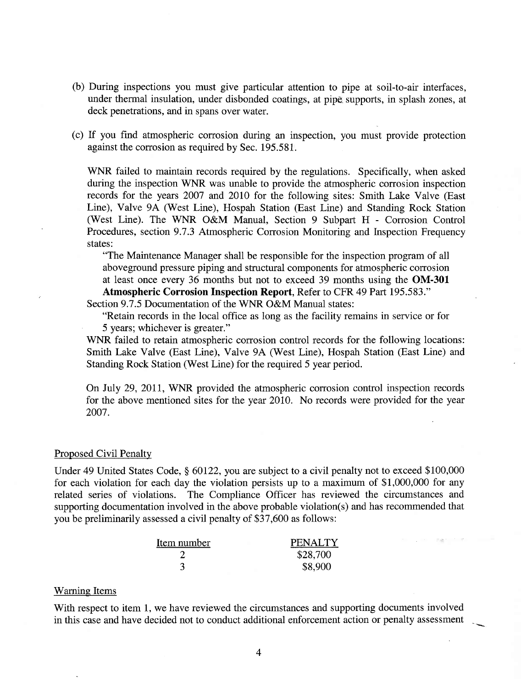- (b) During inspections you must give particular attention to pipe at soil-to-air interfaces, under thermal insulation, under disbonded coatings, at pipe supports, in splash zones, at deck penetrations, and in spans over water.
- (c) If you find atmospheric corrosion during an inspection, you must provide protection against the corrosion as required by Sec. 195.581.

WNR failed to maintain records required by the regulations. Specifically, when asked during the inspection WNR was unable to provide the atmospheric corrosion inspection records for the years 2007 and 2010 for the following sites: Smith Lake Valve (East Line), Valve 9A (West Line), Hospah Station (East Line) and Standing Rock Station (West Line). The WNR O&M Manual, Section 9 Subpart H - Corrosion Control Procedures, section 9.7.3 Atmospheric Corrosion Monitoring and Inspection Frequency states:

"The Maintenance Manager shall be responsible for the inspection program of all aboveground pressure piping and structural components for atmospheric corrosion at least once every 36 months but not to exceed 39 months using the OM-301 Atmospheric Corrosion Inspection Report, Refer to CFR 49 Part 195.583."

Section 9.7.5 Documentation of the WNR O&M Manual states:

"Retain records in the local office as long as the facility remains in service or for 5 years; whichever is greater."

WNR failed to retain atmospheric corrosion control records for the following locations: Smith Lake Valve (East Line), Valve 9A (West Line), Hospah Station (East Line) and Standing Rock Station (West Line) for the required 5 year period.

On July 29, 2011, WNR provided the atmospheric corrosion control inspection records for the above mentioned sites for the year 2010. No records were provided for the year 2007.

### Proposed Civil Penalty

Under 49 United States Code, § 60122, you are subject to a civil penalty not to exceed \$100,000 for each violation for each day the violation persists up to a maximum of \$1,000,000 for any related series of violations. The Compliance Officer has reviewed the circumstances and supporting documentation involved in the above probable violation(s) and has recommended that you be preliminarily assessed a civil penalty of \$37,600 as follows:

**The Co** 

| Item number | <b>PENALTY</b> |
|-------------|----------------|
|             | \$28,700       |
|             | \$8,900        |

### **Warning Items**

With respect to item 1, we have reviewed the circumstances and supporting documents involved in this case and have decided not to conduct additional enforcement action or penalty assessment